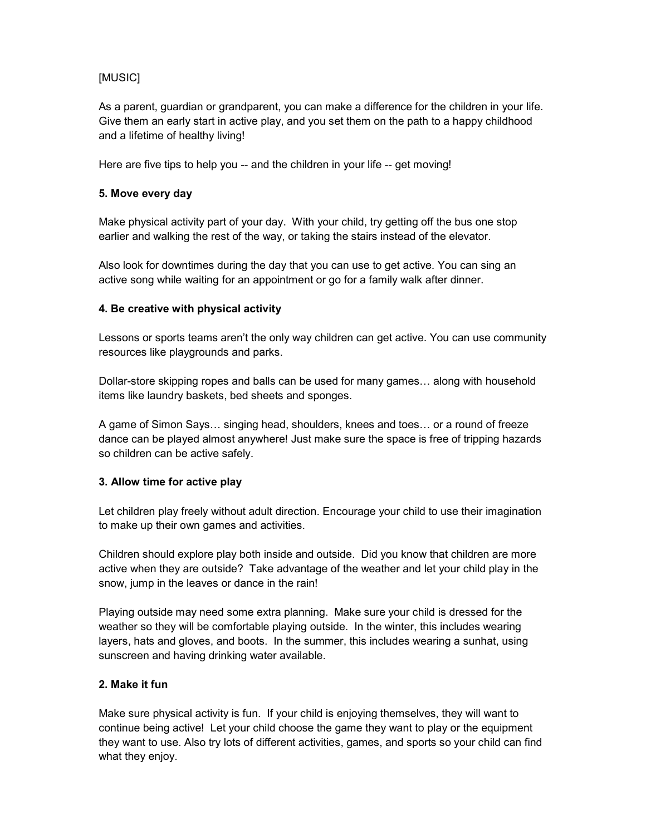# [MUSIC]

As a parent, guardian or grandparent, you can make a difference for the children in your life. Give them an early start in active play, and you set them on the path to a happy childhood and a lifetime of healthy living!

Here are five tips to help you -- and the children in your life -- get moving!

## **5. Move every day**

Make physical activity part of your day. With your child, try getting off the bus one stop earlier and walking the rest of the way, or taking the stairs instead of the elevator.

Also look for downtimes during the day that you can use to get active. You can sing an active song while waiting for an appointment or go for a family walk after dinner.

## **4. Be creative with physical activity**

Lessons or sports teams aren't the only way children can get active. You can use community resources like playgrounds and parks.

Dollar-store skipping ropes and balls can be used for many games… along with household items like laundry baskets, bed sheets and sponges.

A game of Simon Says… singing head, shoulders, knees and toes… or a round of freeze dance can be played almost anywhere! Just make sure the space is free of tripping hazards so children can be active safely.

#### **3. Allow time for active play**

Let children play freely without adult direction. Encourage your child to use their imagination to make up their own games and activities.

Children should explore play both inside and outside. Did you know that children are more active when they are outside? Take advantage of the weather and let your child play in the snow, jump in the leaves or dance in the rain!

Playing outside may need some extra planning. Make sure your child is dressed for the weather so they will be comfortable playing outside. In the winter, this includes wearing layers, hats and gloves, and boots. In the summer, this includes wearing a sunhat, using sunscreen and having drinking water available.

# **2. Make it fun**

Make sure physical activity is fun. If your child is enjoying themselves, they will want to continue being active! Let your child choose the game they want to play or the equipment they want to use. Also try lots of different activities, games, and sports so your child can find what they enjoy.